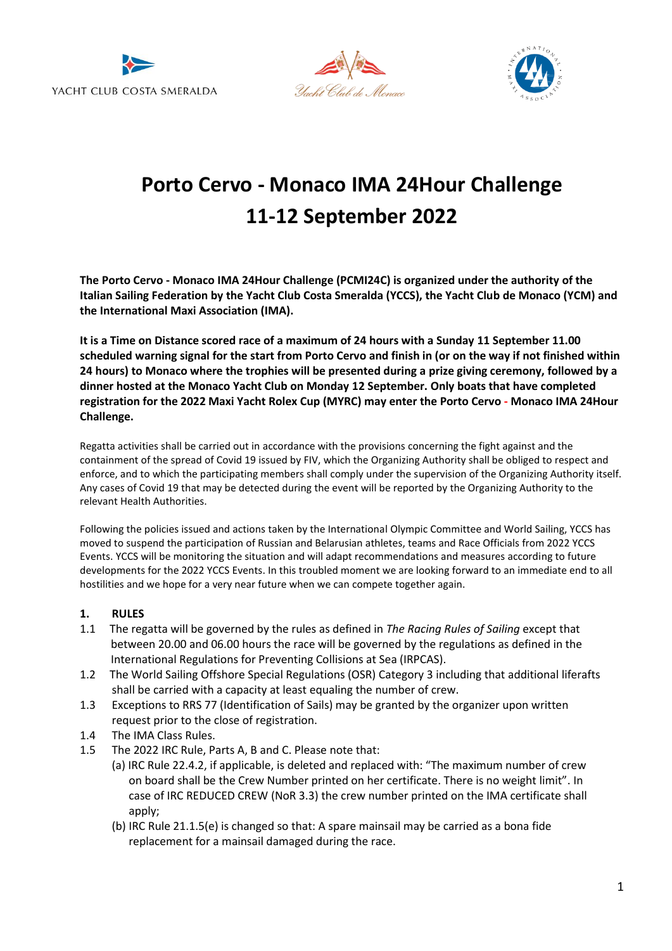





# **Porto Cervo - Monaco IMA 24Hour Challenge 11-12 September 2022**

**The Porto Cervo - Monaco IMA 24Hour Challenge (PCMI24C) is organized under the authority of the Italian Sailing Federation by the Yacht Club Costa Smeralda (YCCS), the Yacht Club de Monaco (YCM) and the International Maxi Association (IMA).** 

**It is a Time on Distance scored race of a maximum of 24 hours with a Sunday 11 September 11.00 scheduled warning signal for the start from Porto Cervo and finish in (or on the way if not finished within 24 hours) to Monaco where the trophies will be presented during a prize giving ceremony, followed by a dinner hosted at the Monaco Yacht Club on Monday 12 September. Only boats that have completed registration for the 2022 Maxi Yacht Rolex Cup (MYRC) may enter the Porto Cervo - Monaco IMA 24Hour Challenge.**

Regatta activities shall be carried out in accordance with the provisions concerning the fight against and the containment of the spread of Covid 19 issued by FIV, which the Organizing Authority shall be obliged to respect and enforce, and to which the participating members shall comply under the supervision of the Organizing Authority itself. Any cases of Covid 19 that may be detected during the event will be reported by the Organizing Authority to the relevant Health Authorities.

Following the policies issued and actions taken by the International Olympic Committee and World Sailing, YCCS has moved to suspend the participation of Russian and Belarusian athletes, teams and Race Officials from 2022 YCCS Events. YCCS will be monitoring the situation and will adapt recommendations and measures according to future developments for the 2022 YCCS Events. In this troubled moment we are looking forward to an immediate end to all hostilities and we hope for a very near future when we can compete together again.

#### **1. RULES**

- 1.1 The regatta will be governed by the rules as defined in *The Racing Rules of Sailing* except that between 20.00 and 06.00 hours the race will be governed by the regulations as defined in the International Regulations for Preventing Collisions at Sea (IRPCAS).
- 1.2 The World Sailing Offshore Special Regulations (OSR) Category 3 including that additional liferafts shall be carried with a capacity at least equaling the number of crew.
- 1.3 Exceptions to RRS 77 (Identification of Sails) may be granted by the organizer upon written request prior to the close of registration.
- 1.4 The IMA Class Rules.
- 1.5 The 2022 IRC Rule, Parts A, B and C. Please note that:
	- (a) IRC Rule 22.4.2, if applicable, is deleted and replaced with: "The maximum number of crew on board shall be the Crew Number printed on her certificate. There is no weight limit". In case of IRC REDUCED CREW (NoR 3.3) the crew number printed on the IMA certificate shall apply;
	- (b) IRC Rule 21.1.5(e) is changed so that: A spare mainsail may be carried as a bona fide replacement for a mainsail damaged during the race.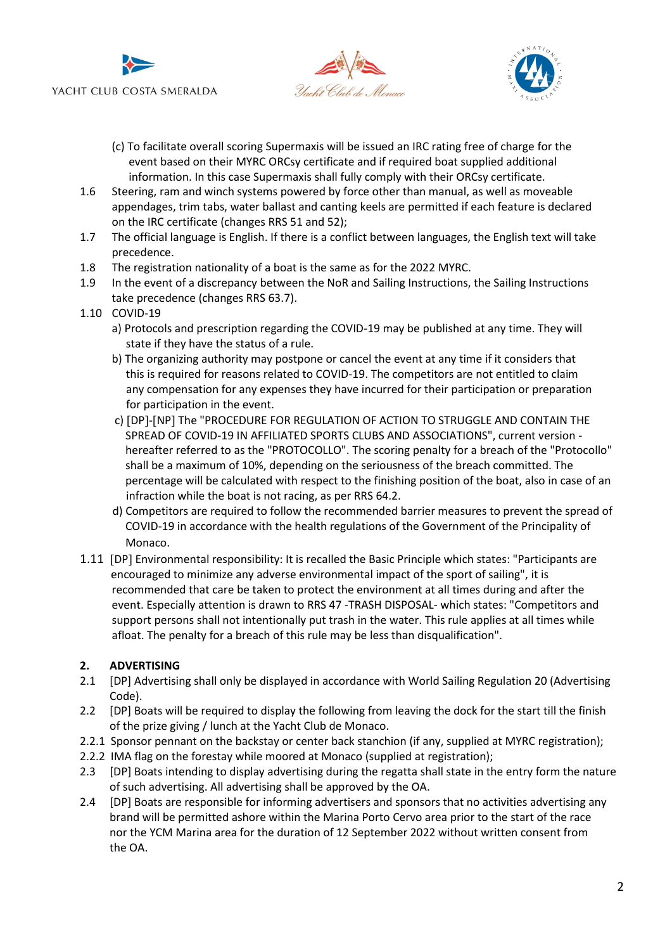





- (c) To facilitate overall scoring Supermaxis will be issued an IRC rating free of charge for the event based on their MYRC ORCsy certificate and if required boat supplied additional information. In this case Supermaxis shall fully comply with their ORCsy certificate.
- 1.6 Steering, ram and winch systems powered by force other than manual, as well as moveable appendages, trim tabs, water ballast and canting keels are permitted if each feature is declared on the IRC certificate (changes RRS 51 and 52);
- 1.7 The official language is English. If there is a conflict between languages, the English text will take precedence.
- 1.8 The registration nationality of a boat is the same as for the 2022 MYRC.
- 1.9 In the event of a discrepancy between the NoR and Sailing Instructions, the Sailing Instructions take precedence (changes RRS 63.7).
- 1.10 COVID-19
	- a) Protocols and prescription regarding the COVID-19 may be published at any time. They will state if they have the status of a rule.
	- b) The organizing authority may postpone or cancel the event at any time if it considers that this is required for reasons related to COVID-19. The competitors are not entitled to claim any compensation for any expenses they have incurred for their participation or preparation for participation in the event.
	- c) [DP]-[NP] The "PROCEDURE FOR REGULATION OF ACTION TO STRUGGLE AND CONTAIN THE SPREAD OF COVID-19 IN AFFILIATED SPORTS CLUBS AND ASSOCIATIONS", current version hereafter referred to as the "PROTOCOLLO". The scoring penalty for a breach of the "Protocollo" shall be a maximum of 10%, depending on the seriousness of the breach committed. The percentage will be calculated with respect to the finishing position of the boat, also in case of an infraction while the boat is not racing, as per RRS 64.2.
	- d) Competitors are required to follow the recommended barrier measures to prevent the spread of COVID-19 in accordance with the health regulations of the Government of the Principality of Monaco.
- 1.11 [DP] Environmental responsibility: It is recalled the Basic Principle which states: "Participants are encouraged to minimize any adverse environmental impact of the sport of sailing", it is recommended that care be taken to protect the environment at all times during and after the event. Especially attention is drawn to RRS 47 -TRASH DISPOSAL- which states: "Competitors and support persons shall not intentionally put trash in the water. This rule applies at all times while afloat. The penalty for a breach of this rule may be less than disqualification".

# **2. ADVERTISING**

- 2.1 [DP] Advertising shall only be displayed in accordance with World Sailing Regulation 20 (Advertising Code).
- 2.2 [DP] Boats will be required to display the following from leaving the dock for the start till the finish of the prize giving / lunch at the Yacht Club de Monaco.
- 2.2.1 Sponsor pennant on the backstay or center back stanchion (if any, supplied at MYRC registration);
- 2.2.2 IMA flag on the forestay while moored at Monaco (supplied at registration);
- 2.3 [DP] Boats intending to display advertising during the regatta shall state in the entry form the nature of such advertising. All advertising shall be approved by the OA.
- 2.4 [DP] Boats are responsible for informing advertisers and sponsors that no activities advertising any brand will be permitted ashore within the Marina Porto Cervo area prior to the start of the race nor the YCM Marina area for the duration of 12 September 2022 without written consent from the OA.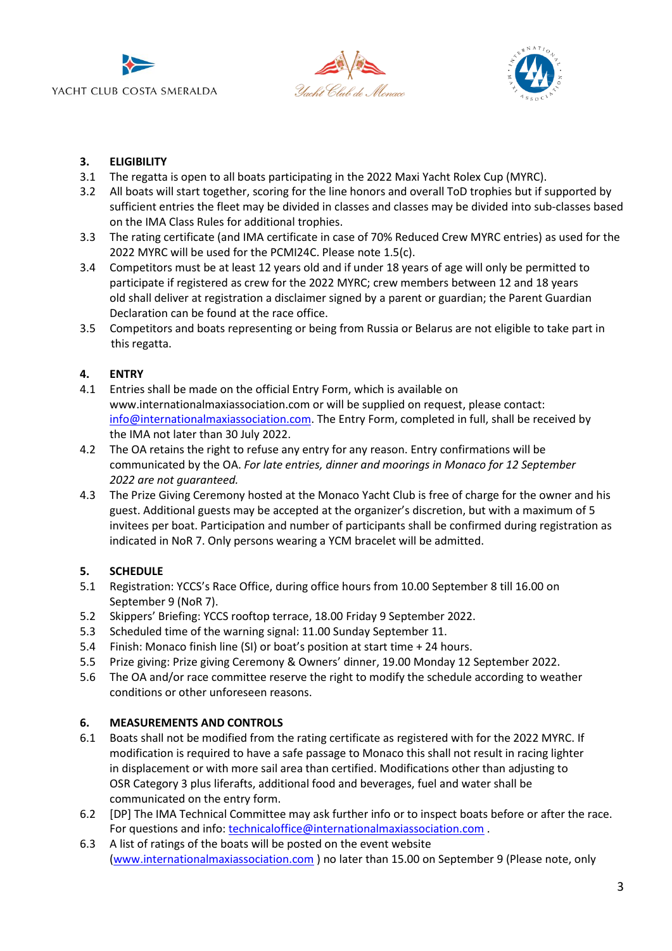





# **3. ELIGIBILITY**

- 3.1 The regatta is open to all boats participating in the 2022 Maxi Yacht Rolex Cup (MYRC).
- 3.2 All boats will start together, scoring for the line honors and overall ToD trophies but if supported by sufficient entries the fleet may be divided in classes and classes may be divided into sub-classes based on the IMA Class Rules for additional trophies.
- 3.3 The rating certificate (and IMA certificate in case of 70% Reduced Crew MYRC entries) as used for the 2022 MYRC will be used for the PCMI24C. Please note 1.5(c).
- 3.4 Competitors must be at least 12 years old and if under 18 years of age will only be permitted to participate if registered as crew for the 2022 MYRC; crew members between 12 and 18 years old shall deliver at registration a disclaimer signed by a parent or guardian; the Parent Guardian Declaration can be found at the race office.
- 3.5 Competitors and boats representing or being from Russia or Belarus are not eligible to take part in this regatta.

# **4. ENTRY**

- 4.1 Entries shall be made on the official Entry Form, which is available on www.internationalmaxiassociation.com or will be supplied on request, please contact: [info@internationalmaxiassociation.com.](mailto:info@internationalmaxiassociation.com) The Entry Form, completed in full, shall be received by the IMA not later than 30 July 2022.
- 4.2 The OA retains the right to refuse any entry for any reason. Entry confirmations will be communicated by the OA. *For late entries, dinner and moorings in Monaco for 12 September 2022 are not guaranteed.*
- 4.3 The Prize Giving Ceremony hosted at the Monaco Yacht Club is free of charge for the owner and his guest. Additional guests may be accepted at the organizer's discretion, but with a maximum of 5 invitees per boat. Participation and number of participants shall be confirmed during registration as indicated in NoR 7. Only persons wearing a YCM bracelet will be admitted.

# **5. SCHEDULE**

- 5.1 Registration: YCCS's Race Office, during office hours from 10.00 September 8 till 16.00 on September 9 (NoR 7).
- 5.2 Skippers' Briefing: YCCS rooftop terrace, 18.00 Friday 9 September 2022.
- 5.3 Scheduled time of the warning signal: 11.00 Sunday September 11.
- 5.4 Finish: Monaco finish line (SI) or boat's position at start time + 24 hours.
- 5.5 Prize giving: Prize giving Ceremony & Owners' dinner, 19.00 Monday 12 September 2022.
- 5.6 The OA and/or race committee reserve the right to modify the schedule according to weather conditions or other unforeseen reasons.

# **6. MEASUREMENTS AND CONTROLS**

- 6.1 Boats shall not be modified from the rating certificate as registered with for the 2022 MYRC. If modification is required to have a safe passage to Monaco this shall not result in racing lighter in displacement or with more sail area than certified. Modifications other than adjusting to OSR Category 3 plus liferafts, additional food and beverages, fuel and water shall be communicated on the entry form.
- 6.2 [DP] The IMA Technical Committee may ask further info or to inspect boats before or after the race. For questions and info[: technicaloffice@internationalmaxiassociation.com](file:///C:/Users/segreteriaregate/AppData/Local/Packages/Microsoft.Office.Desktop_8wekyb3d8bbwe/AC/INetCache/Content.Outlook/XTH9SYHD/technicaloffice@internationalmaxiassociation.com).
- 6.3 A list of ratings of the boats will be posted on the event website [\(www.internationalmaxiassociation.com](http://www.internationalmaxiassociation.com/) ) no later than 15.00 on September 9 (Please note, only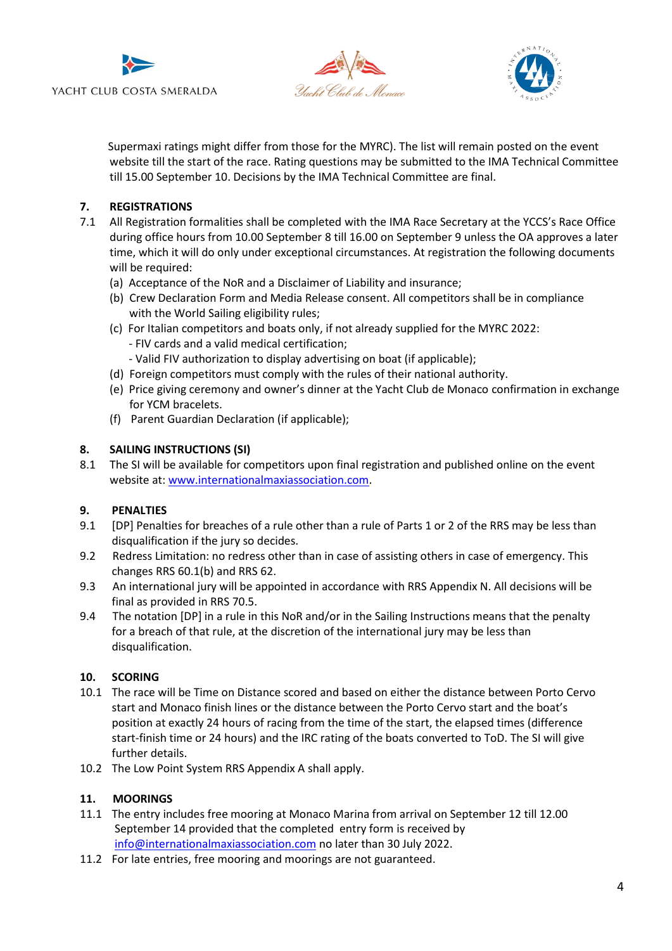





 Supermaxi ratings might differ from those for the MYRC). The list will remain posted on the event website till the start of the race. Rating questions may be submitted to the IMA Technical Committee till 15.00 September 10. Decisions by the IMA Technical Committee are final.

## **7. REGISTRATIONS**

- 7.1 All Registration formalities shall be completed with the IMA Race Secretary at the YCCS's Race Office during office hours from 10.00 September 8 till 16.00 on September 9 unless the OA approves a later time, which it will do only under exceptional circumstances. At registration the following documents will be required:
	- (a) Acceptance of the NoR and a Disclaimer of Liability and insurance;
	- (b) Crew Declaration Form and Media Release consent. All competitors shall be in compliance with the World Sailing eligibility rules;
	- (c) For Italian competitors and boats only, if not already supplied for the MYRC 2022: - FIV cards and a valid medical certification; - Valid FIV authorization to display advertising on boat (if applicable);
	- (d) Foreign competitors must comply with the rules of their national authority.
	- (e) Price giving ceremony and owner's dinner at the Yacht Club de Monaco confirmation in exchange for YCM bracelets.
	- (f) Parent Guardian Declaration (if applicable);

## **8. SAILING INSTRUCTIONS (SI)**

8.1 The SI will be available for competitors upon final registration and published online on the event website at: [www.internationalmaxiassociation.com.](http://www.internationalmaxiassociation.com/)

# **9. PENALTIES**

- 9.1 [DP] Penalties for breaches of a rule other than a rule of Parts 1 or 2 of the RRS may be less than disqualification if the jury so decides.
- 9.2 Redress Limitation: no redress other than in case of assisting others in case of emergency. This changes RRS 60.1(b) and RRS 62.
- 9.3 An international jury will be appointed in accordance with RRS Appendix N. All decisions will be final as provided in RRS 70.5.
- 9.4 The notation [DP] in a rule in this NoR and/or in the Sailing Instructions means that the penalty for a breach of that rule, at the discretion of the international jury may be less than disqualification.

#### **10. SCORING**

- 10.1 The race will be Time on Distance scored and based on either the distance between Porto Cervo start and Monaco finish lines or the distance between the Porto Cervo start and the boat's position at exactly 24 hours of racing from the time of the start, the elapsed times (difference start-finish time or 24 hours) and the IRC rating of the boats converted to ToD. The SI will give further details.
- 10.2 The Low Point System RRS Appendix A shall apply.

#### **11. MOORINGS**

- 11.1 The entry includes free mooring at Monaco Marina from arrival on September 12 till 12.00 September 14 provided that the completed entry form is received by [info@internationalmaxiassociation.com](mailto:info@internationalmaxiassociation.com) no later than 30 July 2022.
- 11.2 For late entries, free mooring and moorings are not guaranteed.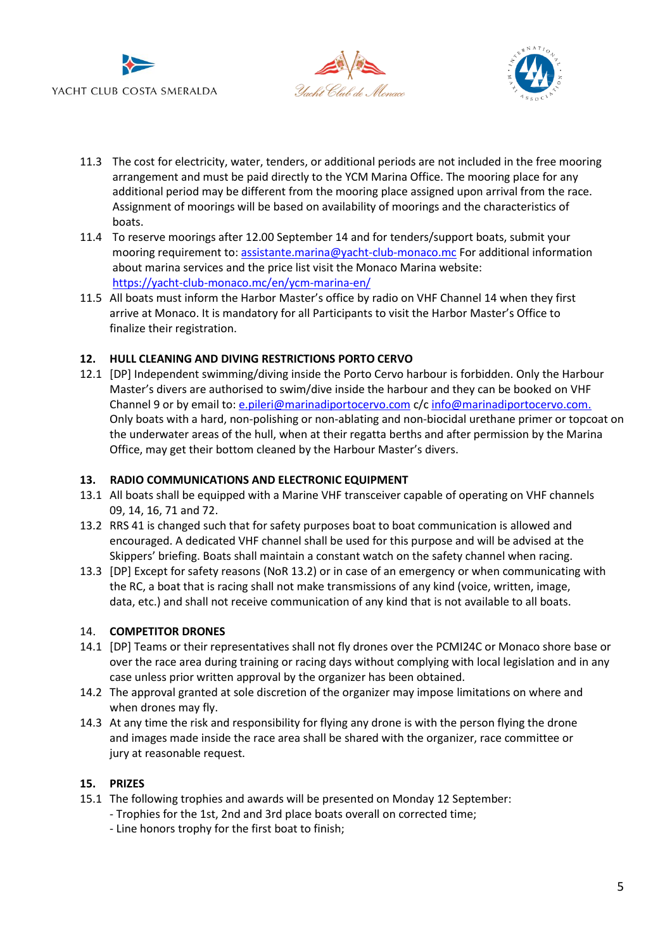





- 11.3 The cost for electricity, water, tenders, or additional periods are not included in the free mooring arrangement and must be paid directly to the YCM Marina Office. The mooring place for any additional period may be different from the mooring place assigned upon arrival from the race. Assignment of moorings will be based on availability of moorings and the characteristics of boats.
- 11.4 To reserve moorings after 12.00 September 14 and for tenders/support boats, submit your mooring requirement to[: assistante.marina@yacht-club-monaco.mc](mailto:assistante.marina@yacht-club-monaco.mc) For additional information about marina services and the price list visit the Monaco Marina website: <https://yacht-club-monaco.mc/en/ycm-marina-en/>
- 11.5 All boats must inform the Harbor Master's office by radio on VHF Channel 14 when they first arrive at Monaco. It is mandatory for all Participants to visit the Harbor Master's Office to finalize their registration.

#### **12. HULL CLEANING AND DIVING RESTRICTIONS PORTO CERVO**

12.1 [DP] Independent swimming/diving inside the Porto Cervo harbour is forbidden. Only the Harbour Master's divers are authorised to swim/dive inside the harbour and they can be booked on VHF Channel 9 or by email to: [e.pileri@marinadiportocervo.com](mailto:e.pileri@marinadiportocervo.com) c/c [info@marinadiportocervo.com.](mailto:info@marinadiportocervo.com) Only boats with a hard, non-polishing or non-ablating and non-biocidal urethane primer or topcoat on the underwater areas of the hull, when at their regatta berths and after permission by the Marina Office, may get their bottom cleaned by the Harbour Master's divers.

#### **13. RADIO COMMUNICATIONS AND ELECTRONIC EQUIPMENT**

- 13.1 All boats shall be equipped with a Marine VHF transceiver capable of operating on VHF channels 09, 14, 16, 71 and 72.
- 13.2 RRS 41 is changed such that for safety purposes boat to boat communication is allowed and encouraged. A dedicated VHF channel shall be used for this purpose and will be advised at the Skippers' briefing. Boats shall maintain a constant watch on the safety channel when racing.
- 13.3 [DP] Except for safety reasons (NoR 13.2) or in case of an emergency or when communicating with the RC, a boat that is racing shall not make transmissions of any kind (voice, written, image, data, etc.) and shall not receive communication of any kind that is not available to all boats.

#### 14. **COMPETITOR DRONES**

- 14.1 [DP] Teams or their representatives shall not fly drones over the PCMI24C or Monaco shore base or over the race area during training or racing days without complying with local legislation and in any case unless prior written approval by the organizer has been obtained.
- 14.2 The approval granted at sole discretion of the organizer may impose limitations on where and when drones may fly.
- 14.3 At any time the risk and responsibility for flying any drone is with the person flying the drone and images made inside the race area shall be shared with the organizer, race committee or jury at reasonable request.

#### **15. PRIZES**

- 15.1 The following trophies and awards will be presented on Monday 12 September:
	- Trophies for the 1st, 2nd and 3rd place boats overall on corrected time;
	- Line honors trophy for the first boat to finish;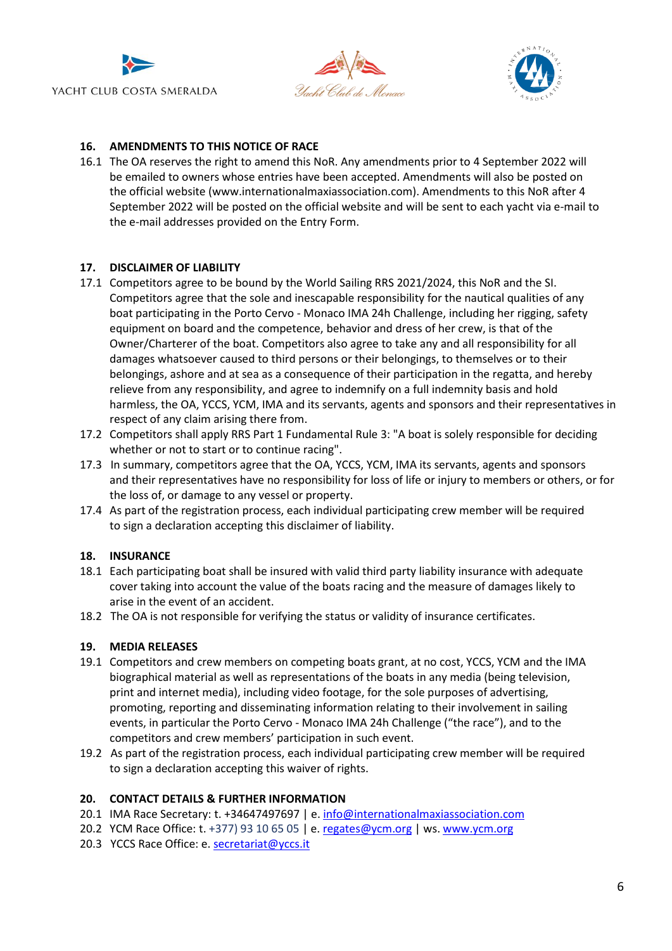





## **16. AMENDMENTS TO THIS NOTICE OF RACE**

16.1 The OA reserves the right to amend this NoR. Any amendments prior to 4 September 2022 will be emailed to owners whose entries have been accepted. Amendments will also be posted on the official website (www.internationalmaxiassociation.com). Amendments to this NoR after 4 September 2022 will be posted on the official website and will be sent to each yacht via e-mail to the e-mail addresses provided on the Entry Form.

#### **17. DISCLAIMER OF LIABILITY**

- 17.1 Competitors agree to be bound by the World Sailing RRS 2021/2024, this NoR and the SI. Competitors agree that the sole and inescapable responsibility for the nautical qualities of any boat participating in the Porto Cervo - Monaco IMA 24h Challenge, including her rigging, safety equipment on board and the competence, behavior and dress of her crew, is that of the Owner/Charterer of the boat. Competitors also agree to take any and all responsibility for all damages whatsoever caused to third persons or their belongings, to themselves or to their belongings, ashore and at sea as a consequence of their participation in the regatta, and hereby relieve from any responsibility, and agree to indemnify on a full indemnity basis and hold harmless, the OA, YCCS, YCM, IMA and its servants, agents and sponsors and their representatives in respect of any claim arising there from.
- 17.2 Competitors shall apply RRS Part 1 Fundamental Rule 3: "A boat is solely responsible for deciding whether or not to start or to continue racing".
- 17.3 In summary, competitors agree that the OA, YCCS, YCM, IMA its servants, agents and sponsors and their representatives have no responsibility for loss of life or injury to members or others, or for the loss of, or damage to any vessel or property.
- 17.4 As part of the registration process, each individual participating crew member will be required to sign a declaration accepting this disclaimer of liability.

#### **18. INSURANCE**

- 18.1 Each participating boat shall be insured with valid third party liability insurance with adequate cover taking into account the value of the boats racing and the measure of damages likely to arise in the event of an accident.
- 18.2 The OA is not responsible for verifying the status or validity of insurance certificates.

#### **19. MEDIA RELEASES**

- 19.1 Competitors and crew members on competing boats grant, at no cost, YCCS, YCM and the IMA biographical material as well as representations of the boats in any media (being television, print and internet media), including video footage, for the sole purposes of advertising, promoting, reporting and disseminating information relating to their involvement in sailing events, in particular the Porto Cervo - Monaco IMA 24h Challenge ("the race"), and to the competitors and crew members' participation in such event.
- 19.2 As part of the registration process, each individual participating crew member will be required to sign a declaration accepting this waiver of rights.

#### **20. CONTACT DETAILS & FURTHER INFORMATION**

- 20.1 IMA Race Secretary: t. +34647497697 | e. [info@internationalmaxiassociation.com](file:///C:/Users/segreteriaregate/AppData/Local/Packages/Microsoft.Office.Desktop_8wekyb3d8bbwe/AC/INetCache/Content.Outlook/XTH9SYHD/info@internationalmaxiassociation.com)
- 20.2 YCM Race Office: t. +377) 93 10 65 05 | e. [regates@ycm.org](mailto:regates@ycm.org) | ws[. www.ycm.org](http://www.ycm.org/)
- 20.3 YCCS Race Office: e. [secretariat@yccs.it](file:///C:/Users/segreteriaregate/AppData/Local/Packages/Microsoft.Office.Desktop_8wekyb3d8bbwe/AC/INetCache/Content.Outlook/XTH9SYHD/secretariat@yccs.it)